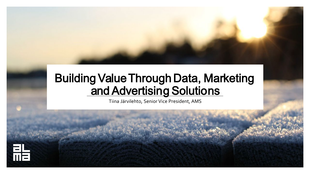### BuildingValueThrough Data, Marketing and Advertising Solutions

Tiina Järvilehto, Senior Vice President, AMS

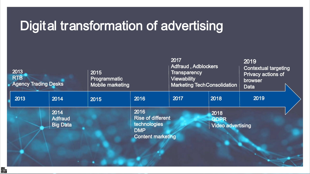## Digital transformation of advertising

| 2013<br><b>RTB</b><br><b>Agency Trading Desks</b> |                                           | 2015<br>Programmatic<br>Mobile marketing |                                                                                            | 2017<br><b>Adfraud, Adblockers</b><br><b>Transparency</b><br><b>Viewability</b> | <b>Marketing Tech Consolidation</b>             | 2019<br><b>Contextual targeting</b><br>Privacy actions of<br>browser<br><b>Data</b> |  |
|---------------------------------------------------|-------------------------------------------|------------------------------------------|--------------------------------------------------------------------------------------------|---------------------------------------------------------------------------------|-------------------------------------------------|-------------------------------------------------------------------------------------|--|
| 2013                                              | 2014                                      | 2015                                     | 2016                                                                                       | 2017                                                                            | 2018                                            | 2019                                                                                |  |
|                                                   | 2014<br><b>Adfraud</b><br><b>Big Data</b> |                                          | 2016<br><b>Rise of different</b><br>technologies<br><b>DMP</b><br><b>Content marketing</b> |                                                                                 | 2018<br><b>GDPR</b><br><b>Video advertising</b> |                                                                                     |  |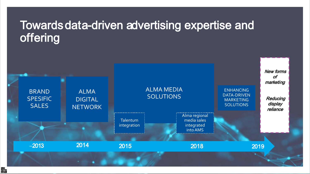### Towardsdata-driven advertising expertise and offering

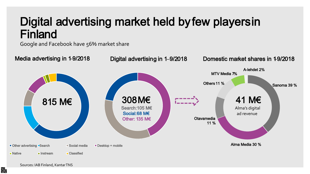## Digital advertising market held byfew playersin Finland

Google and Facebook have 56% market share



點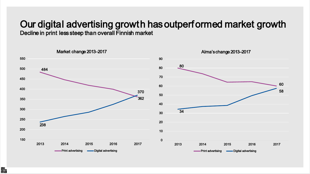## Our digital advertising growth hasoutperformed market growth

Decline in print less steep than overall Finnish market

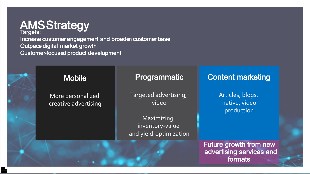

Increase customer engagement and broaden customer base Outpace digital market growth Customer-focused product development



### Mobile

More personalized creative advertising

#### Programmatic

Targeted advertising, video

Maximizing inventory-value and yield-optimization

### Content marketing

Articles, blogs, native, video production

Future growth from new advertising services and formats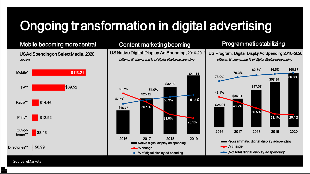# Ongoing transformation in digital advertising

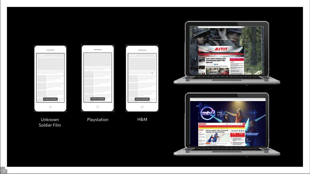

Unknown Soldie r Film

콽

Playstation H&M